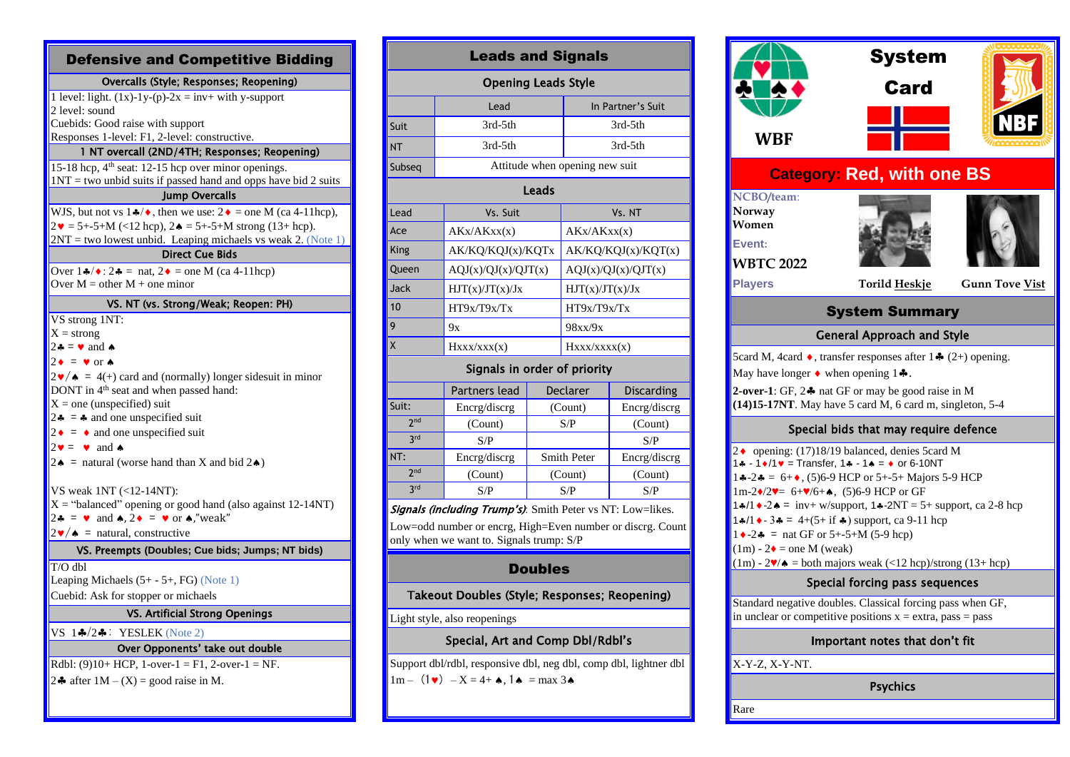| <b>Defensive and Competitive Bidding</b>                                                                          |  |  |  |  |  |  |
|-------------------------------------------------------------------------------------------------------------------|--|--|--|--|--|--|
| Overcalls (Style; Responses; Reopening)                                                                           |  |  |  |  |  |  |
| 1 level: light. $(1x)-1y-(p)-2x = inv + with y-support$                                                           |  |  |  |  |  |  |
| 2 level: sound                                                                                                    |  |  |  |  |  |  |
| Cuebids: Good raise with support<br>Responses 1-level: F1, 2-level: constructive.                                 |  |  |  |  |  |  |
| 1 NT overcall (2ND/4TH; Responses; Reopening)                                                                     |  |  |  |  |  |  |
| 15-18 hcp, 4 <sup>th</sup> seat: 12-15 hcp over minor openings.                                                   |  |  |  |  |  |  |
| $1NT = two$ unbid suits if passed hand and opps have bid 2 suits                                                  |  |  |  |  |  |  |
| <b>Jump Overcalls</b>                                                                                             |  |  |  |  |  |  |
| WJS, but not vs $1\frac{4}{3}$ , then we use: $2\bullet$ = one M (ca 4-11hcp),                                    |  |  |  |  |  |  |
| $2\mathbf{v} = 5 + -5 + M$ (<12 hcp), $2\mathbf{A} = 5 + -5 + M$ strong (13+ hcp).                                |  |  |  |  |  |  |
| $2NT$ = two lowest unbid. Leaping michaels vs weak 2. (Note 1)                                                    |  |  |  |  |  |  |
| <b>Direct Cue Bids</b>                                                                                            |  |  |  |  |  |  |
| Over $1 \cdot \sqrt{\bullet}$ : $2 \cdot \text{I} = \text{nat}$ , $2 \cdot \text{I} = \text{one } M$ (ca 4-11hcp) |  |  |  |  |  |  |
| Over $M =$ other $M +$ one minor                                                                                  |  |  |  |  |  |  |
| VS. NT (vs. Strong/Weak; Reopen: PH)                                                                              |  |  |  |  |  |  |
| VS strong 1NT:                                                                                                    |  |  |  |  |  |  |
| $X =$ strong                                                                                                      |  |  |  |  |  |  |
| $2\clubsuit \equiv \bullet$ and $\spadesuit$                                                                      |  |  |  |  |  |  |
| $2 \cdot = \cdot \text{ or } \cdot$                                                                               |  |  |  |  |  |  |
| $2\mathbf{v}/\mathbf{A} = 4(+)$ card and (normally) longer sidesuit in minor                                      |  |  |  |  |  |  |
| DONT in 4 <sup>th</sup> seat and when passed hand:                                                                |  |  |  |  |  |  |
| $X =$ one (unspecified) suit                                                                                      |  |  |  |  |  |  |
| 2.4 = $\bullet$ and one unspecified suit                                                                          |  |  |  |  |  |  |
| $2 \cdot = \cdot$ and one unspecified suit                                                                        |  |  |  |  |  |  |
| $2\mathbf{v} = \mathbf{v}$ and $\mathbf{v}$                                                                       |  |  |  |  |  |  |
| $2 \triangle$ = natural (worse hand than X and bid $2 \triangle$ )                                                |  |  |  |  |  |  |
| VS weak 1NT (<12-14NT):                                                                                           |  |  |  |  |  |  |
| $X =$ "balanced" opening or good hand (also against 12-14NT)                                                      |  |  |  |  |  |  |
| $2\bullet = \bullet$ and $\bullet$ , $2\bullet = \bullet$ or $\bullet$ , "weak"                                   |  |  |  |  |  |  |
| $2\mathbf{v}/\mathbf{A}$ = natural, constructive                                                                  |  |  |  |  |  |  |
| VS. Preempts (Doubles; Cue bids; Jumps; NT bids)                                                                  |  |  |  |  |  |  |
| $T/O$ dbl                                                                                                         |  |  |  |  |  |  |
| Leaping Michaels $(5+ - 5+$ , FG) (Note 1)                                                                        |  |  |  |  |  |  |
| Cuebid: Ask for stopper or michaels                                                                               |  |  |  |  |  |  |
| <b>VS. Artificial Strong Openings</b>                                                                             |  |  |  |  |  |  |
| VS $1\clubsuit/2\clubsuit$ : YESLEK (Note 2)                                                                      |  |  |  |  |  |  |
| Over Opponents' take out double                                                                                   |  |  |  |  |  |  |
| Rdbl: $(9)10+$ HCP, 1-over-1 = F1, 2-over-1 = NF.                                                                 |  |  |  |  |  |  |
| 2. after $1M - (X) =$ good raise in M.                                                                            |  |  |  |  |  |  |

| <b>Leads and Signals</b>                  |                                |             |                     |                   |  |  |  |  |  |
|-------------------------------------------|--------------------------------|-------------|---------------------|-------------------|--|--|--|--|--|
| <b>Opening Leads Style</b>                |                                |             |                     |                   |  |  |  |  |  |
|                                           | Lead                           |             |                     | In Partner's Suit |  |  |  |  |  |
| Suit                                      | 3rd-5th                        |             | 3rd-5th             |                   |  |  |  |  |  |
| <b>NT</b>                                 | 3rd-5th                        |             | 3rd-5th             |                   |  |  |  |  |  |
| Subseq                                    | Attitude when opening new suit |             |                     |                   |  |  |  |  |  |
| Leads                                     |                                |             |                     |                   |  |  |  |  |  |
| Lead                                      | Vs. Suit                       |             | Vs. NT              |                   |  |  |  |  |  |
| Ace                                       | AKx/AKxx(x)                    |             | AKx/AKxx(x)         |                   |  |  |  |  |  |
| King                                      | AK/KQ/KQJ(x)/KQTx              |             | AK/KQ/KQJ(x)/KQT(x) |                   |  |  |  |  |  |
| Queen                                     | AQJ(x)/QJ(x)/QJT(x)            |             | AQJ(x)/QJ(x)/QJT(x) |                   |  |  |  |  |  |
| <b>Jack</b>                               | HJT(x)/JT(x)/Jx                |             |                     | HJT(x)/JT(x)/Jx   |  |  |  |  |  |
| 10                                        | HT9x/T9x/Tx                    |             | HT9x/T9x/Tx         |                   |  |  |  |  |  |
| 9                                         | 9x                             |             | 98xx/9x             |                   |  |  |  |  |  |
| X                                         | Hxxx/xxx(x)                    |             | Hxxx/xxxx(x)        |                   |  |  |  |  |  |
| Signals in order of priority              |                                |             |                     |                   |  |  |  |  |  |
|                                           | Partners lead                  |             | Declarer            | <b>Discarding</b> |  |  |  |  |  |
| Suit:                                     | Encrg/discrg                   | (Count)     |                     | Encrg/discrg      |  |  |  |  |  |
| 2 <sub>nd</sub>                           | (Count)                        | S/P         |                     | (Count)           |  |  |  |  |  |
| <b>3rd</b>                                | S/P                            |             |                     | S/P               |  |  |  |  |  |
| NT:                                       | Encrg/discrg                   | Smith Peter |                     | Encrg/discrg      |  |  |  |  |  |
| 2 <sub>nd</sub>                           | (Count)                        | (Count)     |                     | (Count)           |  |  |  |  |  |
| 3rd                                       | S/P                            | S/P         |                     | S/P               |  |  |  |  |  |
| $\mathbf{r}$ $\mathbf{r}$<br>$\mathbf{r}$ |                                |             |                     |                   |  |  |  |  |  |

**Signals (including Trump's)**: Smith Peter vs NT: Low=likes. Low=odd number or encrg, High=Even number or discrg. Count

only when we want to. Signals trump: S/P

## Doubles

Takeout Doubles (Style; Responses; Reopening)

Light style, also reopenings

## Special, Art and Comp Dbl/Rdbl's

Support dbl/rdbl, responsive dbl, neg dbl, comp dbl, lightner dbl  $1m - (1\vee) - X = 4 + \triangle$ ,  $1\triangleq \text{max } 3\triangleq$ 



 $(1\text{m}) - 2\bullet = \text{one } M \text{ (weak)}$ 

 $(1\text{m}) - 2\mathbf{v}/\mathbf{A} = \text{both majors weak } (\text{12 hep})/\text{strong } (13 + \text{hcp})$ 

## Special forcing pass sequences

Standard negative doubles. Classical forcing pass when GF, in unclear or competitive positions  $x = e$ xtra, pass = pass

## Important notes that don't fit

X-Y-Z, X-Y-NT.

Psychics

Rare